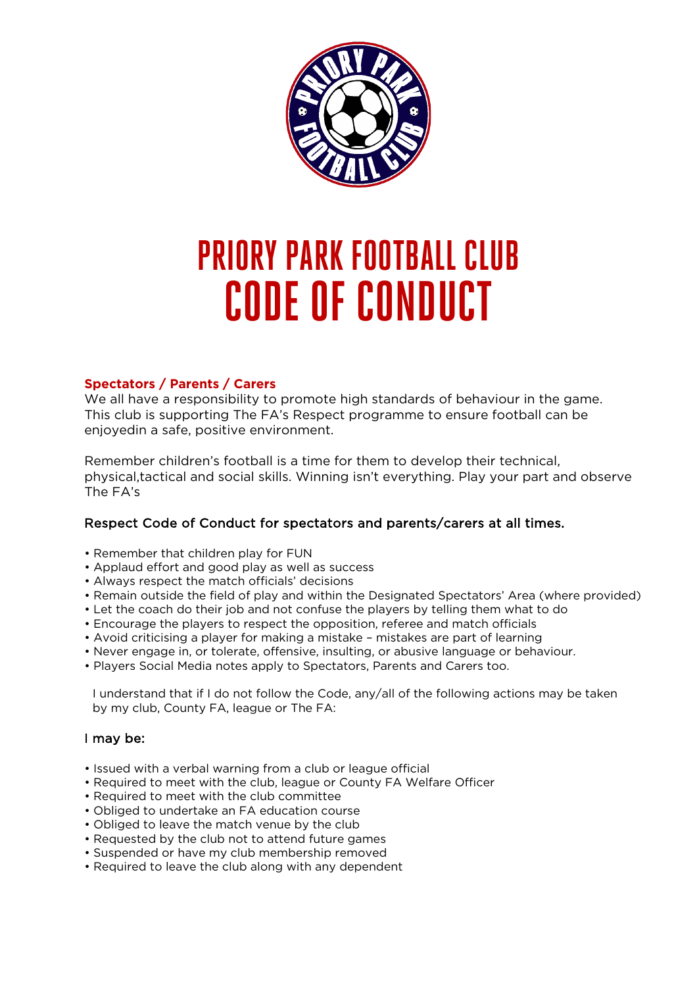

# **PRIORY PARK FOOTBALL CLUB CODE OF CONDUCT**

# **Spectators / Parents / Carers**

We all have a responsibility to promote high standards of behaviour in the game. This club is supporting The FA's Respect programme to ensure football can be enjoyedin a safe, positive environment.

Remember children's football is a time for them to develop their technical, physical,tactical and social skills. Winning isn't everything. Play your part and observe The FA's

# Respect Code of Conduct for spectators and parents/carers at all times.

- Remember that children play for FUN
- Applaud effort and good play as well as success
- Always respect the match officials' decisions
- Remain outside the field of play and within the Designated Spectators' Area (where provided)
- Let the coach do their job and not confuse the players by telling them what to do
- Encourage the players to respect the opposition, referee and match officials
- Avoid criticising a player for making a mistake mistakes are part of learning
- Never engage in, or tolerate, offensive, insulting, or abusive language or behaviour.
- Players Social Media notes apply to Spectators, Parents and Carers too.

I understand that if I do not follow the Code, any/all of the following actions may be taken by my club, County FA, league or The FA:

# I may be:

- Issued with a verbal warning from a club or league official
- Required to meet with the club, league or County FA Welfare Officer
- Required to meet with the club committee
- Obliged to undertake an FA education course
- Obliged to leave the match venue by the club
- Requested by the club not to attend future games
- Suspended or have my club membership removed
- Required to leave the club along with any dependent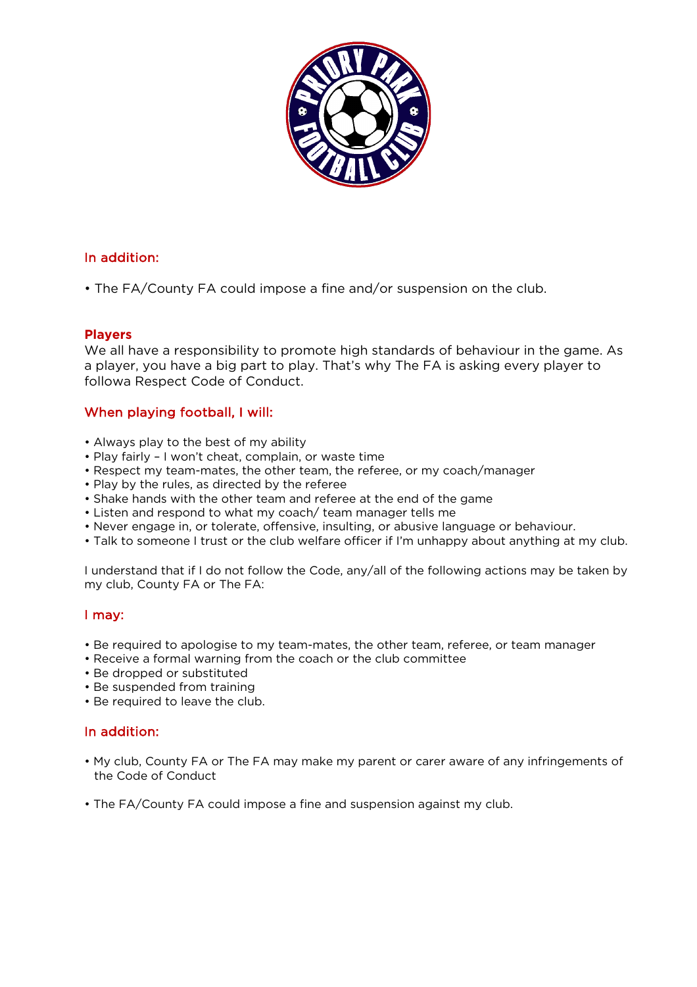

# In addition:

• The FA/County FA could impose a fine and/or suspension on the club.

#### **Players**

We all have a responsibility to promote high standards of behaviour in the game. As a player, you have a big part to play. That's why The FA is asking every player to followa Respect Code of Conduct.

# When playing football, I will:

- Always play to the best of my ability
- Play fairly I won't cheat, complain, or waste time
- Respect my team-mates, the other team, the referee, or my coach/manager
- Play by the rules, as directed by the referee
- Shake hands with the other team and referee at the end of the game
- Listen and respond to what my coach/ team manager tells me
- Never engage in, or tolerate, offensive, insulting, or abusive language or behaviour.
- Talk to someone I trust or the club welfare officer if I'm unhappy about anything at my club.

I understand that if I do not follow the Code, any/all of the following actions may be taken by my club, County FA or The FA:

# I may:

- Be required to apologise to my team-mates, the other team, referee, or team manager
- Receive a formal warning from the coach or the club committee
- Be dropped or substituted
- Be suspended from training
- Be required to leave the club.

# In addition:

- My club, County FA or The FA may make my parent or carer aware of any infringements of the Code of Conduct
- The FA/County FA could impose a fine and suspension against my club.